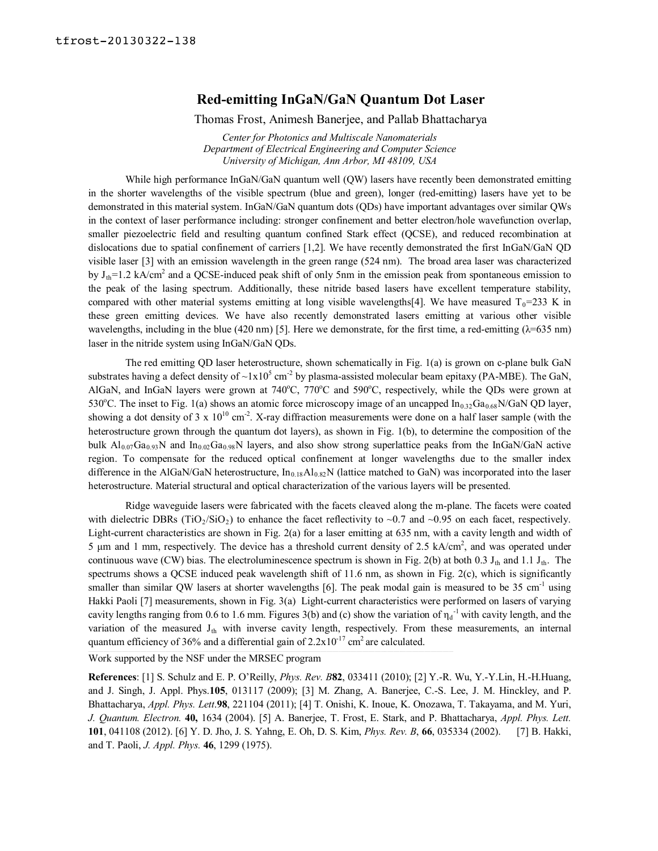## **Red-emitting InGaN/GaN Quantum Dot Laser**

Thomas Frost, Animesh Banerjee, and Pallab Bhattacharya

*Center for Photonics and Multiscale Nanomaterials Department of Electrical Engineering and Computer Science University of Michigan, Ann Arbor, MI 48109, USA*

While high performance InGaN/GaN quantum well (QW) lasers have recently been demonstrated emitting in the shorter wavelengths of the visible spectrum (blue and green), longer (red-emitting) lasers have yet to be demonstrated in this material system. InGaN/GaN quantum dots (QDs) have important advantages over similar QWs in the context of laser performance including: stronger confinement and better electron/hole wavefunction overlap, smaller piezoelectric field and resulting quantum confined Stark effect (QCSE), and reduced recombination at dislocations due to spatial confinement of carriers [1,2]. We have recently demonstrated the first InGaN/GaN QD visible laser [3] with an emission wavelength in the green range (524 nm). The broad area laser was characterized by  $J_{th}$ =1.2 kA/cm<sup>2</sup> and a QCSE-induced peak shift of only 5nm in the emission peak from spontaneous emission to the peak of the lasing spectrum. Additionally, these nitride based lasers have excellent temperature stability, compared with other material systems emitting at long visible wavelengths[4]. We have measured  $T_0$ =233 K in these green emitting devices. We have also recently demonstrated lasers emitting at various other visible wavelengths, including in the blue (420 nm) [5]. Here we demonstrate, for the first time, a red-emitting ( $\lambda$ =635 nm) laser in the nitride system using InGaN/GaN QDs.

The red emitting QD laser heterostructure, shown schematically in Fig. 1(a) is grown on c-plane bulk GaN substrates having a defect density of  $\sim 1x10^5$  cm<sup>-2</sup> by plasma-assisted molecular beam epitaxy (PA-MBE). The GaN, AlGaN, and InGaN layers were grown at 740°C, 770°C and 590°C, respectively, while the QDs were grown at 530°C. The inset to Fig. 1(a) shows an atomic force microscopy image of an uncapped  $In_{0.32}Ga_{0.68}N/GaN$  QD layer, showing a dot density of 3 x  $10^{10}$  cm<sup>-2</sup>. X-ray diffraction measurements were done on a half laser sample (with the heterostructure grown through the quantum dot layers), as shown in Fig. 1(b), to determine the composition of the bulk  $A_{0.07}$ Ga<sub>0.93</sub>N and In<sub>0.02</sub>Ga<sub>0.98</sub>N layers, and also show strong superlattice peaks from the InGaN/GaN active region. To compensate for the reduced optical confinement at longer wavelengths due to the smaller index difference in the AlGaN/GaN heterostructure,  $In_{0.18}Al_{0.82}N$  (lattice matched to GaN) was incorporated into the laser heterostructure. Material structural and optical characterization of the various layers will be presented.

Ridge waveguide lasers were fabricated with the facets cleaved along the m-plane. The facets were coated with dielectric DBRs (TiO<sub>2</sub>/SiO<sub>2</sub>) to enhance the facet reflectivity to ~0.7 and ~0.95 on each facet, respectively. Light-current characteristics are shown in Fig. 2(a) for a laser emitting at  $635$  nm, with a cavity length and width of 5  $\mu$ m and 1 mm, respectively. The device has a threshold current density of 2.5 kA/cm<sup>2</sup>, and was operated under continuous wave (CW) bias. The electroluminescence spectrum is shown in Fig. 2(b) at both 0.3  $J<sub>th</sub>$  and 1.1  $J<sub>th</sub>$ . The spectrums shows a QCSE induced peak wavelength shift of 11.6 nm, as shown in Fig. 2(c), which is significantly smaller than similar QW lasers at shorter wavelengths [6]. The peak modal gain is measured to be 35 cm<sup>-1</sup> using Hakki Paoli [7] measurements, shown in Fig. 3(a) Light-current characteristics were performed on lasers of varying cavity lengths ranging from 0.6 to 1.6 mm. Figures 3(b) and (c) show the variation of  $\eta_d$ <sup>-1</sup> with cavity length, and the variation of the measured J<sub>th</sub> with inverse cavity length, respectively. From these measurements, an internal quantum efficiency of 36% and a differential gain of  $2.2 \times 10^{-17}$  cm<sup>2</sup> are calculated.

Work supported by the NSF under the MRSEC program

**References**: [1] S. Schulz and E. P. O'Reilly, *Phys. Rev. B***82**, 033411 (2010); [2] Y.-R. Wu, Y.-Y.Lin, H.-H.Huang, and J. Singh, J. Appl. Phys.**105**, 013117 (2009); [3] M. Zhang, A. Banerjee, C.-S. Lee, J. M. Hinckley, and P. Bhattacharya, *Appl. Phys. Lett*.**98**, 221104 (2011); [4] T. Onishi, K. Inoue, K. Onozawa, T. Takayama, and M. Yuri, *J. Quantum. Electron.* **40,** 1634 (2004). [5] A. Banerjee, T. Frost, E. Stark, and P. Bhattacharya, *Appl. Phys. Lett.* **101**, 041108 (2012). [6] Y. D. Jho, J. S. Yahng, E. Oh, D. S. Kim, *Phys. Rev. B*, **66**, 035334 (2002). [7] B. Hakki, and T. Paoli, *J. Appl. Phys.* **46**, 1299 (1975).